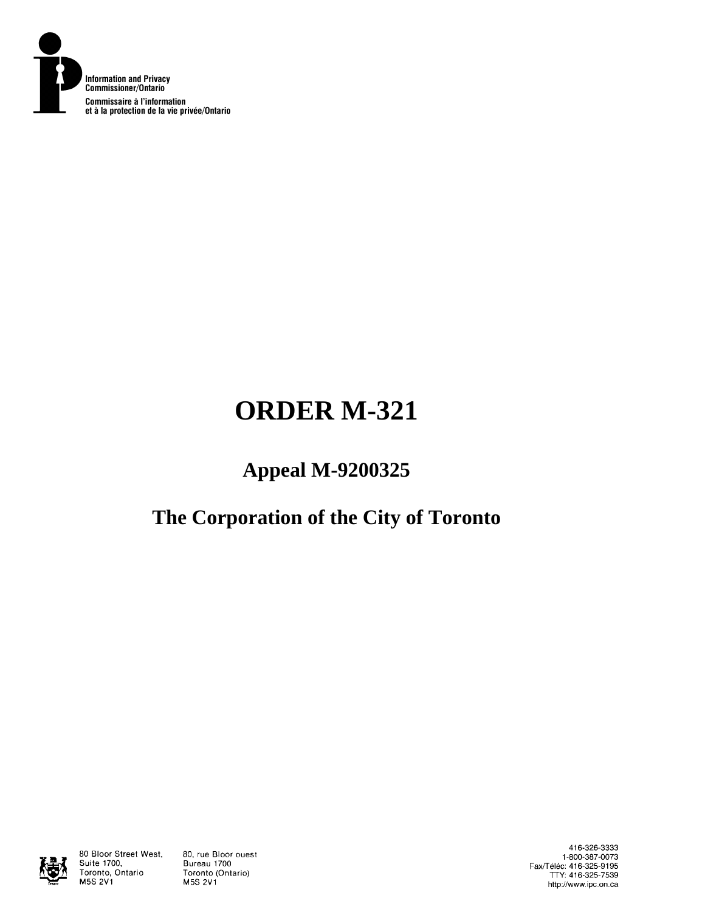

# **ORDER M-321**

## **Appeal M-9200325**

### **The Corporation of the City of Toronto**



80 Bloor Street West, Suite 1700, Toronto, Ontario **M5S 2V1** 

80, rue Bloor ouest Bureau 1700 Toronto (Ontario) **M5S 2V1** 

416-326-3333 1-800-387-0073 Fax/Téléc: 416-325-9195<br>TTY: 416-325-7539 http://www.ipc.on.ca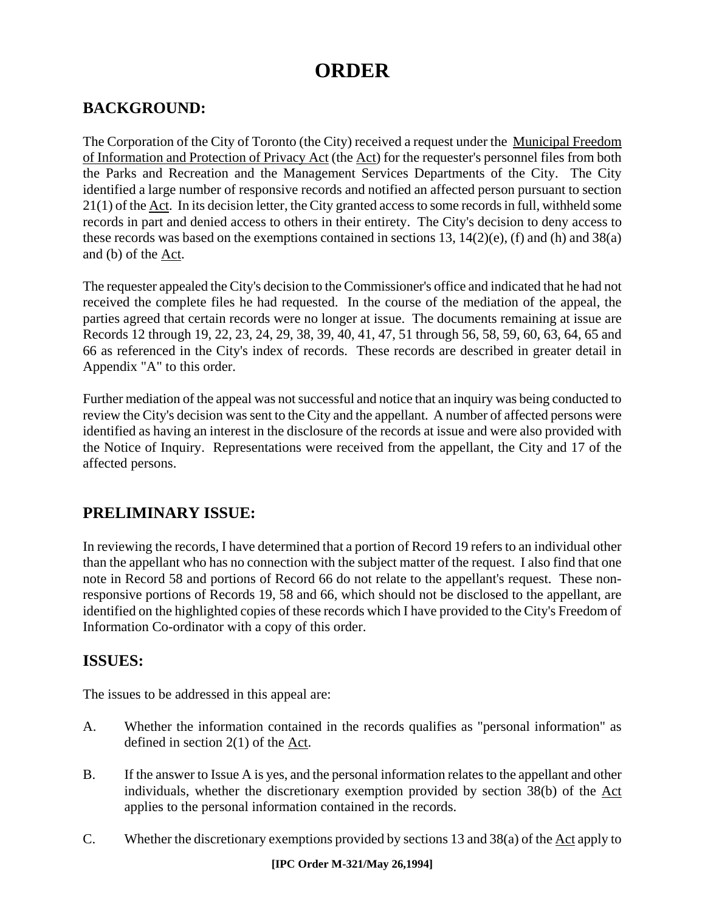### **ORDER**

#### **BACKGROUND:**

The Corporation of the City of Toronto (the City) received a request under the Municipal Freedom of Information and Protection of Privacy Act (the Act) for the requester's personnel files from both the Parks and Recreation and the Management Services Departments of the City. The City identified a large number of responsive records and notified an affected person pursuant to section 21(1) of the Act. In its decision letter, the City granted access to some records in full, withheld some records in part and denied access to others in their entirety. The City's decision to deny access to these records was based on the exemptions contained in sections 13, 14(2)(e), (f) and (h) and 38(a) and (b) of the Act.

The requester appealed the City's decision to the Commissioner's office and indicated that he had not received the complete files he had requested. In the course of the mediation of the appeal, the parties agreed that certain records were no longer at issue. The documents remaining at issue are Records 12 through 19, 22, 23, 24, 29, 38, 39, 40, 41, 47, 51 through 56, 58, 59, 60, 63, 64, 65 and 66 as referenced in the City's index of records. These records are described in greater detail in Appendix "A" to this order.

Further mediation of the appeal was not successful and notice that an inquiry was being conducted to review the City's decision was sent to the City and the appellant. A number of affected persons were identified as having an interest in the disclosure of the records at issue and were also provided with the Notice of Inquiry. Representations were received from the appellant, the City and 17 of the affected persons.

#### **PRELIMINARY ISSUE:**

In reviewing the records, I have determined that a portion of Record 19 refers to an individual other than the appellant who has no connection with the subject matter of the request. I also find that one note in Record 58 and portions of Record 66 do not relate to the appellant's request. These nonresponsive portions of Records 19, 58 and 66, which should not be disclosed to the appellant, are identified on the highlighted copies of these records which I have provided to the City's Freedom of Information Co-ordinator with a copy of this order.

#### **ISSUES:**

The issues to be addressed in this appeal are:

- A. Whether the information contained in the records qualifies as "personal information" as defined in section 2(1) of the Act.
- B. If the answer to Issue A is yes, and the personal information relates to the appellant and other individuals, whether the discretionary exemption provided by section 38(b) of the Act applies to the personal information contained in the records.
- C. Whether the discretionary exemptions provided by sections 13 and 38(a) of the Act apply to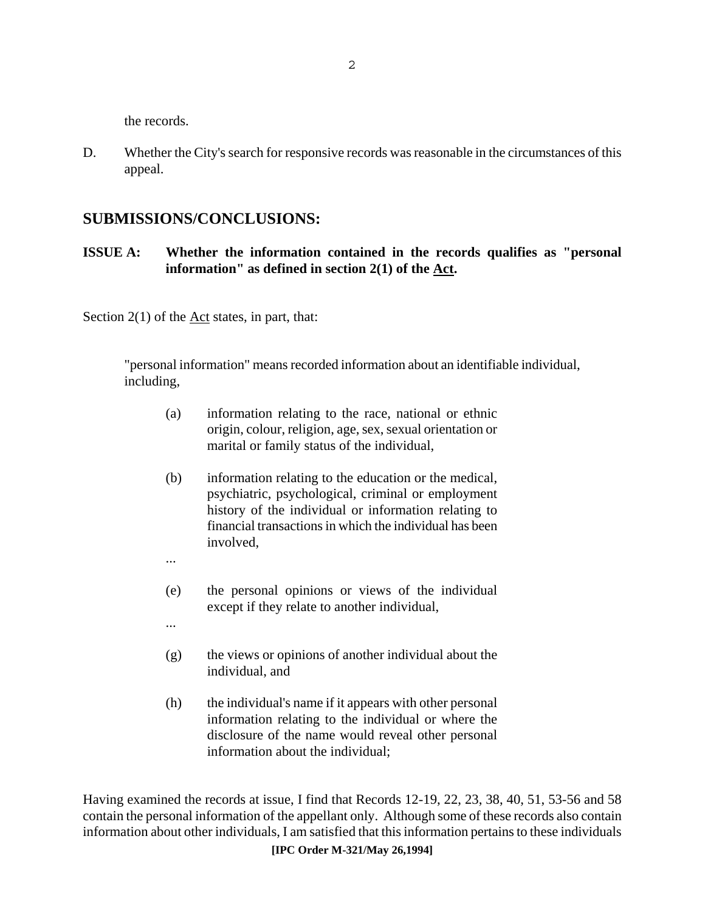the records.

D. Whether the City's search for responsive records was reasonable in the circumstances of this appeal.

#### **SUBMISSIONS/CONCLUSIONS:**

#### **ISSUE A: Whether the information contained in the records qualifies as "personal information" as defined in section 2(1) of the Act.**

Section  $2(1)$  of the  $\underline{\text{Act}}$  states, in part, that:

"personal information" means recorded information about an identifiable individual, including,

- (a) information relating to the race, national or ethnic origin, colour, religion, age, sex, sexual orientation or marital or family status of the individual,
- (b) information relating to the education or the medical, psychiatric, psychological, criminal or employment history of the individual or information relating to financial transactions in which the individual has been involved,
- ...

...

- (e) the personal opinions or views of the individual except if they relate to another individual,
- (g) the views or opinions of another individual about the individual, and
- (h) the individual's name if it appears with other personal information relating to the individual or where the disclosure of the name would reveal other personal information about the individual;

**[IPC Order M-321/May 26,1994]**  Having examined the records at issue, I find that Records 12-19, 22, 23, 38, 40, 51, 53-56 and 58 contain the personal information of the appellant only. Although some of these records also contain information about other individuals, I am satisfied that this information pertains to these individuals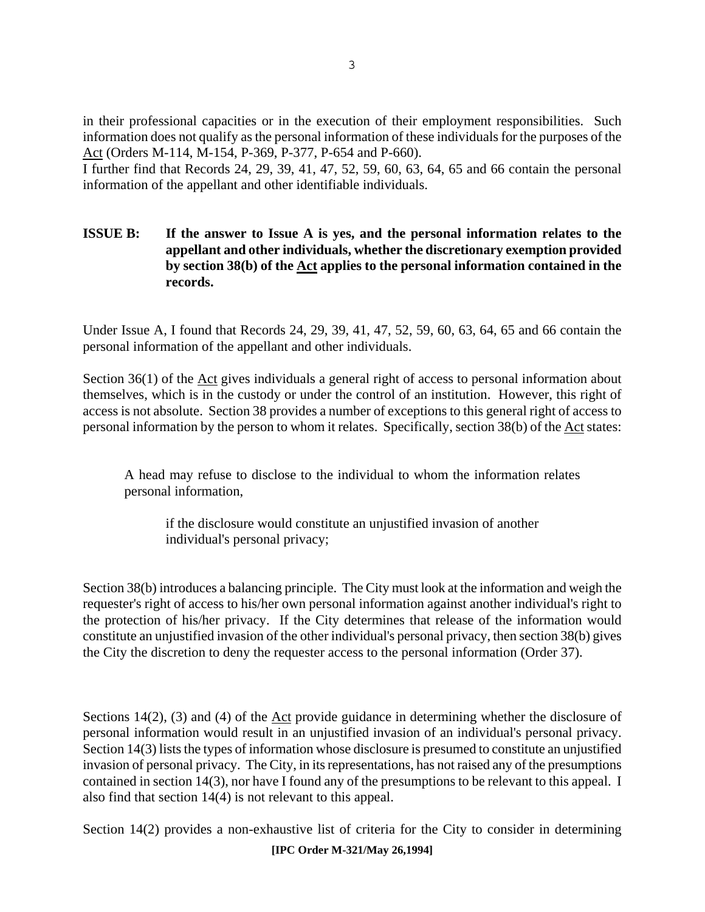in their professional capacities or in the execution of their employment responsibilities. Such information does not qualify as the personal information of these individuals for the purposes of the Act (Orders M-114, M-154, P-369, P-377, P-654 and P-660).

I further find that Records 24, 29, 39, 41, 47, 52, 59, 60, 63, 64, 65 and 66 contain the personal information of the appellant and other identifiable individuals.

#### **ISSUE B:** If the answer to Issue A is yes, and the personal information relates to the **appellant and other individuals, whether the discretionary exemption provided by section 38(b) of the Act applies to the personal information contained in the records.**

Under Issue A, I found that Records 24, 29, 39, 41, 47, 52, 59, 60, 63, 64, 65 and 66 contain the personal information of the appellant and other individuals.

Section 36(1) of the Act gives individuals a general right of access to personal information about themselves, which is in the custody or under the control of an institution. However, this right of access is not absolute. Section 38 provides a number of exceptions to this general right of access to personal information by the person to whom it relates. Specifically, section 38(b) of the Act states:

A head may refuse to disclose to the individual to whom the information relates personal information,

if the disclosure would constitute an unjustified invasion of another individual's personal privacy;

Section 38(b) introduces a balancing principle. The City must look at the information and weigh the requester's right of access to his/her own personal information against another individual's right to the protection of his/her privacy. If the City determines that release of the information would constitute an unjustified invasion of the other individual's personal privacy, then section 38(b) gives the City the discretion to deny the requester access to the personal information (Order 37).

Sections 14(2), (3) and (4) of the  $\Delta ct$  provide guidance in determining whether the disclosure of personal information would result in an unjustified invasion of an individual's personal privacy. Section 14(3) lists the types of information whose disclosure is presumed to constitute an unjustified invasion of personal privacy. The City, in its representations, has not raised any of the presumptions contained in section 14(3), nor have I found any of the presumptions to be relevant to this appeal. I also find that section 14(4) is not relevant to this appeal.

Section 14(2) provides a non-exhaustive list of criteria for the City to consider in determining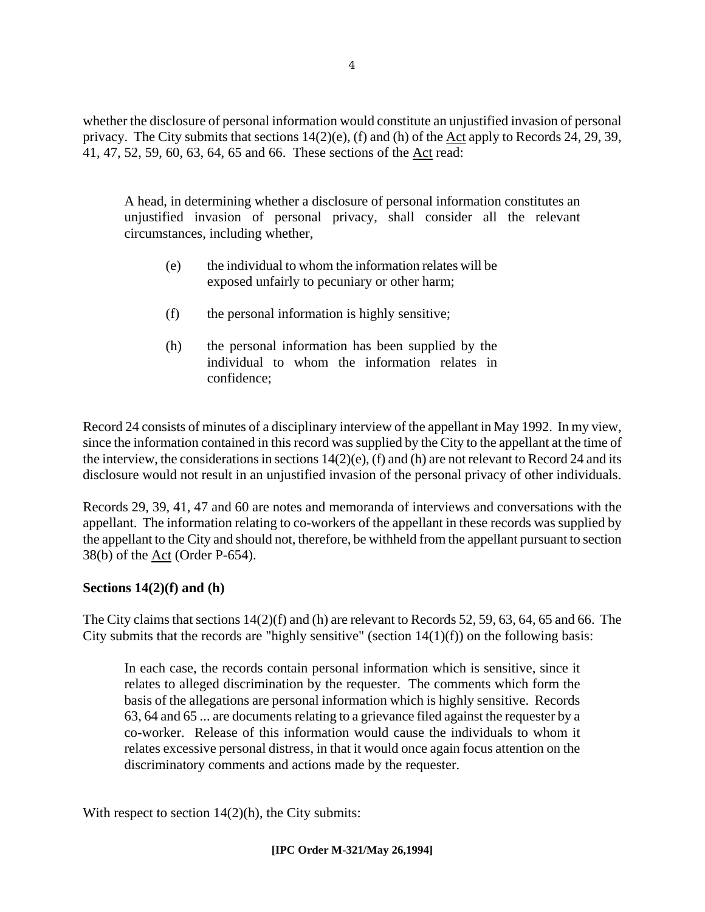whether the disclosure of personal information would constitute an unjustified invasion of personal privacy. The City submits that sections 14(2)(e), (f) and (h) of the Act apply to Records 24, 29, 39, 41, 47, 52, 59, 60, 63, 64, 65 and 66. These sections of the Act read:

A head, in determining whether a disclosure of personal information constitutes an unjustified invasion of personal privacy, shall consider all the relevant circumstances, including whether,

- (e) the individual to whom the information relates will be exposed unfairly to pecuniary or other harm;
- (f) the personal information is highly sensitive;
- (h) the personal information has been supplied by the individual to whom the information relates in confidence;

Record 24 consists of minutes of a disciplinary interview of the appellant in May 1992. In my view, since the information contained in this record was supplied by the City to the appellant at the time of the interview, the considerations in sections 14(2)(e), (f) and (h) are not relevant to Record 24 and its disclosure would not result in an unjustified invasion of the personal privacy of other individuals.

Records 29, 39, 41, 47 and 60 are notes and memoranda of interviews and conversations with the appellant. The information relating to co-workers of the appellant in these records was supplied by the appellant to the City and should not, therefore, be withheld from the appellant pursuant to section 38(b) of the Act (Order P-654).

#### **Sections 14(2)(f) and (h)**

The City claims that sections 14(2)(f) and (h) are relevant to Records 52, 59, 63, 64, 65 and 66. The City submits that the records are "highly sensitive" (section  $14(1)(f)$ ) on the following basis:

In each case, the records contain personal information which is sensitive, since it relates to alleged discrimination by the requester. The comments which form the basis of the allegations are personal information which is highly sensitive. Records 63, 64 and 65 ... are documents relating to a grievance filed against the requester by a co-worker. Release of this information would cause the individuals to whom it relates excessive personal distress, in that it would once again focus attention on the discriminatory comments and actions made by the requester.

With respect to section  $14(2)(h)$ , the City submits: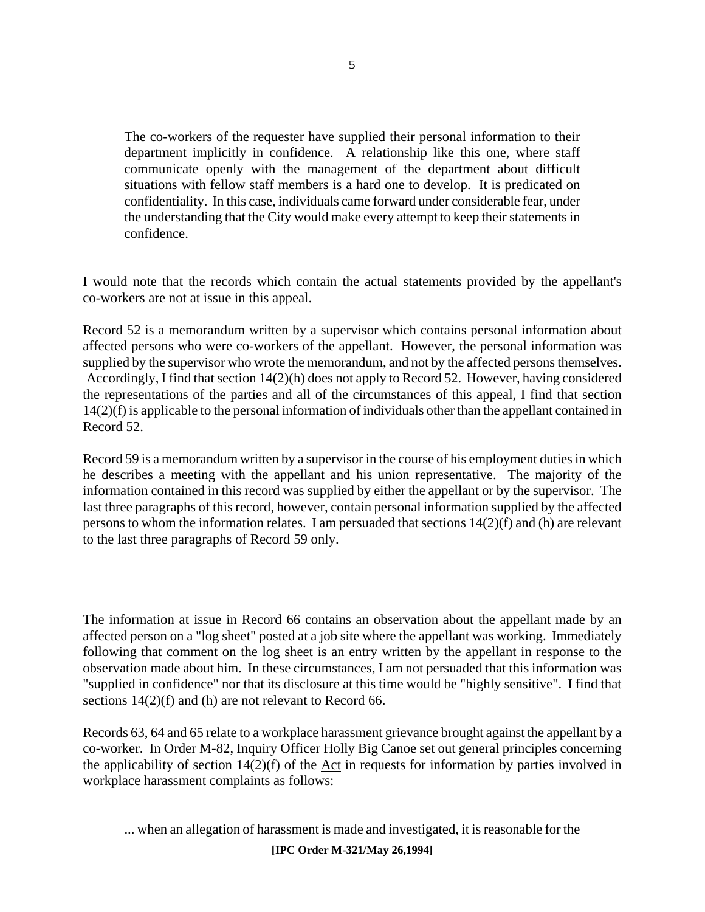The co-workers of the requester have supplied their personal information to their department implicitly in confidence. A relationship like this one, where staff communicate openly with the management of the department about difficult situations with fellow staff members is a hard one to develop. It is predicated on confidentiality. In this case, individuals came forward under considerable fear, under the understanding that the City would make every attempt to keep their statements in confidence.

I would note that the records which contain the actual statements provided by the appellant's co-workers are not at issue in this appeal.

Record 52 is a memorandum written by a supervisor which contains personal information about affected persons who were co-workers of the appellant. However, the personal information was supplied by the supervisor who wrote the memorandum, and not by the affected persons themselves. Accordingly, I find that section 14(2)(h) does not apply to Record 52. However, having considered the representations of the parties and all of the circumstances of this appeal, I find that section 14(2)(f) is applicable to the personal information of individuals other than the appellant contained in Record 52.

Record 59 is a memorandum written by a supervisor in the course of his employment duties in which he describes a meeting with the appellant and his union representative. The majority of the information contained in this record was supplied by either the appellant or by the supervisor. The last three paragraphs of this record, however, contain personal information supplied by the affected persons to whom the information relates. I am persuaded that sections 14(2)(f) and (h) are relevant to the last three paragraphs of Record 59 only.

The information at issue in Record 66 contains an observation about the appellant made by an affected person on a "log sheet" posted at a job site where the appellant was working. Immediately following that comment on the log sheet is an entry written by the appellant in response to the observation made about him. In these circumstances, I am not persuaded that this information was "supplied in confidence" nor that its disclosure at this time would be "highly sensitive". I find that sections  $14(2)(f)$  and (h) are not relevant to Record 66.

Records 63, 64 and 65 relate to a workplace harassment grievance brought against the appellant by a co-worker. In Order M-82, Inquiry Officer Holly Big Canoe set out general principles concerning the applicability of section 14(2)(f) of the Act in requests for information by parties involved in workplace harassment complaints as follows:

... when an allegation of harassment is made and investigated, it is reasonable for the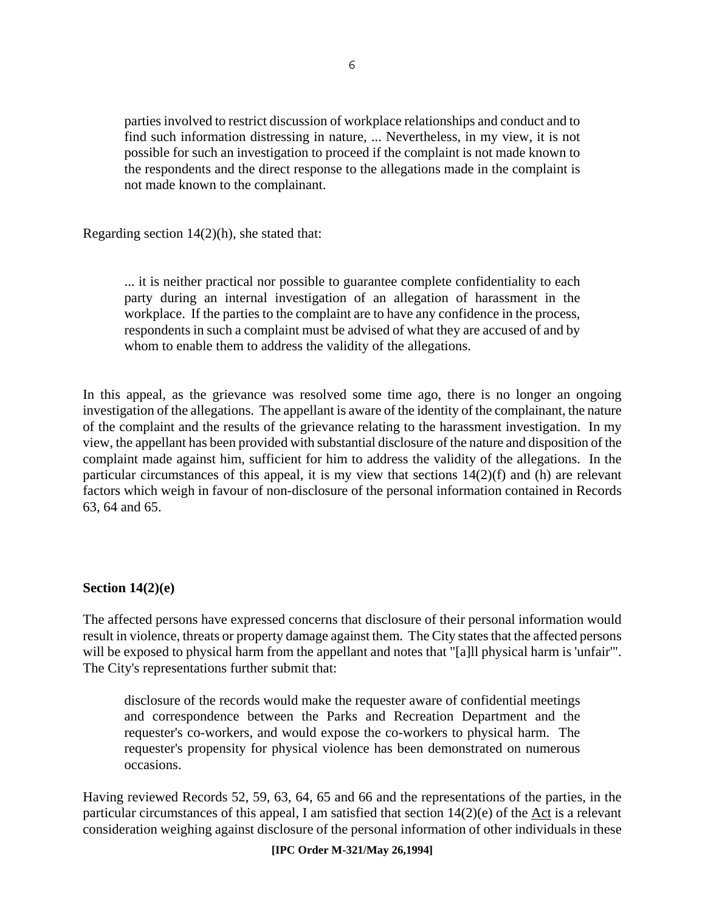parties involved to restrict discussion of workplace relationships and conduct and to find such information distressing in nature, ... Nevertheless, in my view, it is not possible for such an investigation to proceed if the complaint is not made known to the respondents and the direct response to the allegations made in the complaint is not made known to the complainant.

Regarding section 14(2)(h), she stated that:

... it is neither practical nor possible to guarantee complete confidentiality to each party during an internal investigation of an allegation of harassment in the workplace. If the parties to the complaint are to have any confidence in the process, respondents in such a complaint must be advised of what they are accused of and by whom to enable them to address the validity of the allegations.

In this appeal, as the grievance was resolved some time ago, there is no longer an ongoing investigation of the allegations. The appellant is aware of the identity of the complainant, the nature of the complaint and the results of the grievance relating to the harassment investigation. In my view, the appellant has been provided with substantial disclosure of the nature and disposition of the complaint made against him, sufficient for him to address the validity of the allegations. In the particular circumstances of this appeal, it is my view that sections 14(2)(f) and (h) are relevant factors which weigh in favour of non-disclosure of the personal information contained in Records 63, 64 and 65.

#### **Section 14(2)(e)**

The affected persons have expressed concerns that disclosure of their personal information would result in violence, threats or property damage against them. The City states that the affected persons will be exposed to physical harm from the appellant and notes that "[a]ll physical harm is 'unfair'". The City's representations further submit that:

disclosure of the records would make the requester aware of confidential meetings and correspondence between the Parks and Recreation Department and the requester's co-workers, and would expose the co-workers to physical harm. The requester's propensity for physical violence has been demonstrated on numerous occasions.

Having reviewed Records 52, 59, 63, 64, 65 and 66 and the representations of the parties, in the particular circumstances of this appeal, I am satisfied that section 14(2)(e) of the Act is a relevant consideration weighing against disclosure of the personal information of other individuals in these

#### **[IPC Order M-321/May 26,1994]**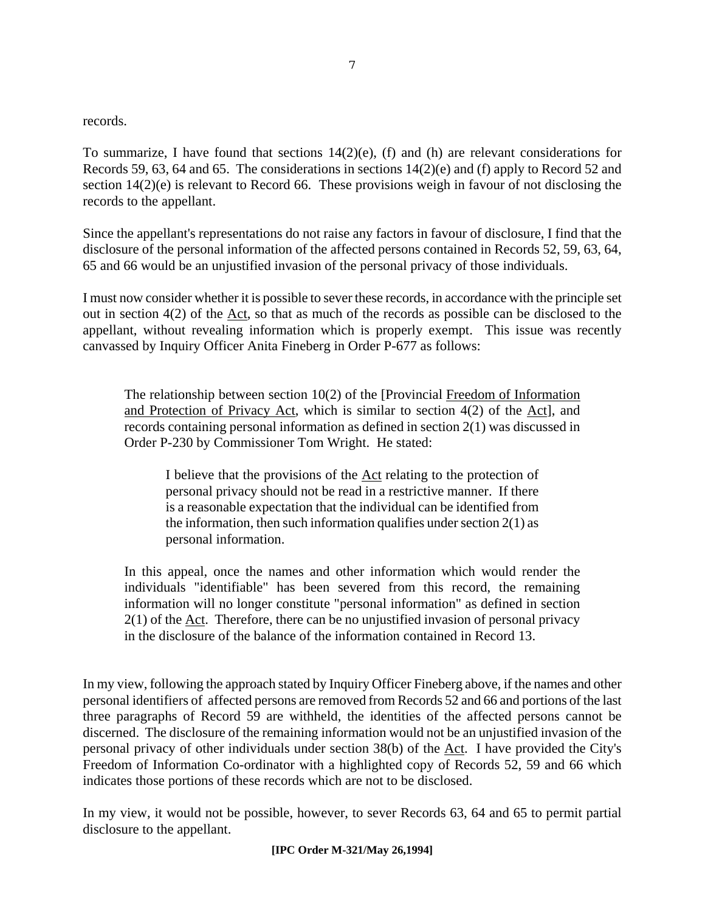records.

To summarize, I have found that sections  $14(2)(e)$ , (f) and (h) are relevant considerations for Records 59, 63, 64 and 65. The considerations in sections 14(2)(e) and (f) apply to Record 52 and section 14(2)(e) is relevant to Record 66. These provisions weigh in favour of not disclosing the records to the appellant.

Since the appellant's representations do not raise any factors in favour of disclosure, I find that the disclosure of the personal information of the affected persons contained in Records 52, 59, 63, 64, 65 and 66 would be an unjustified invasion of the personal privacy of those individuals.

I must now consider whether it is possible to sever these records, in accordance with the principle set out in section 4(2) of the Act, so that as much of the records as possible can be disclosed to the appellant, without revealing information which is properly exempt. This issue was recently canvassed by Inquiry Officer Anita Fineberg in Order P-677 as follows:

The relationship between section 10(2) of the [Provincial Freedom of Information and Protection of Privacy Act, which is similar to section 4(2) of the Act], and records containing personal information as defined in section 2(1) was discussed in Order P-230 by Commissioner Tom Wright. He stated:

I believe that the provisions of the Act relating to the protection of personal privacy should not be read in a restrictive manner. If there is a reasonable expectation that the individual can be identified from the information, then such information qualifies under section  $2(1)$  as personal information.

In this appeal, once the names and other information which would render the individuals "identifiable" has been severed from this record, the remaining information will no longer constitute "personal information" as defined in section 2(1) of the Act. Therefore, there can be no unjustified invasion of personal privacy in the disclosure of the balance of the information contained in Record 13.

In my view, following the approach stated by Inquiry Officer Fineberg above, if the names and other personal identifiers of affected persons are removed from Records 52 and 66 and portions of the last three paragraphs of Record 59 are withheld, the identities of the affected persons cannot be discerned. The disclosure of the remaining information would not be an unjustified invasion of the personal privacy of other individuals under section 38(b) of the Act. I have provided the City's Freedom of Information Co-ordinator with a highlighted copy of Records 52, 59 and 66 which indicates those portions of these records which are not to be disclosed.

In my view, it would not be possible, however, to sever Records 63, 64 and 65 to permit partial disclosure to the appellant.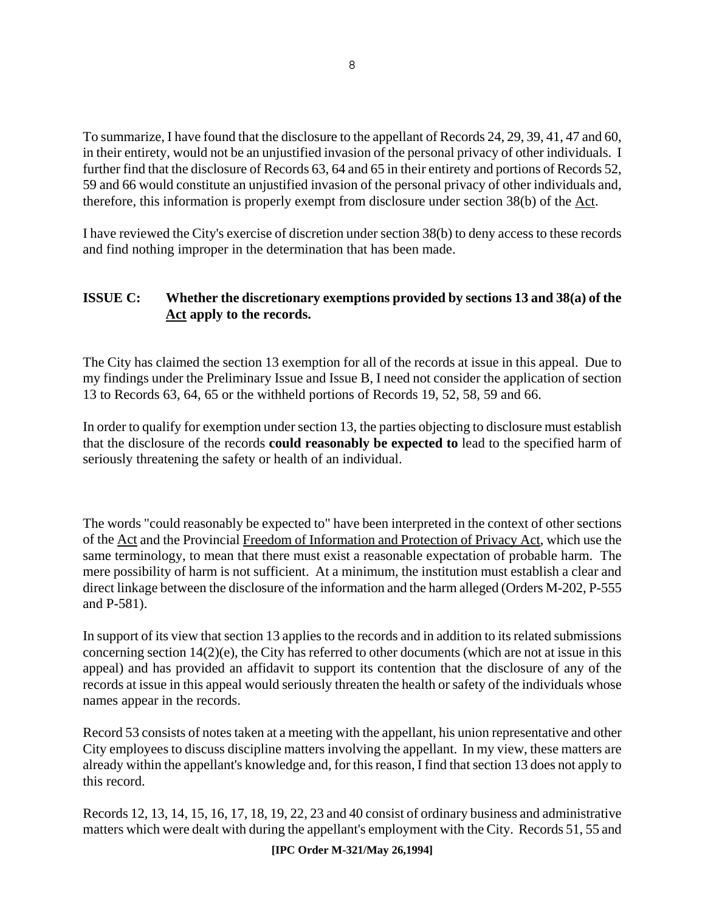To summarize, I have found that the disclosure to the appellant of Records 24, 29, 39, 41, 47 and 60, in their entirety, would not be an unjustified invasion of the personal privacy of other individuals. I further find that the disclosure of Records 63, 64 and 65 in their entirety and portions of Records 52, 59 and 66 would constitute an unjustified invasion of the personal privacy of other individuals and, therefore, this information is properly exempt from disclosure under section 38(b) of the Act.

I have reviewed the City's exercise of discretion under section 38(b) to deny access to these records and find nothing improper in the determination that has been made.

#### **ISSUE C: Whether the discretionary exemptions provided by sections 13 and 38(a) of the Act apply to the records.**

The City has claimed the section 13 exemption for all of the records at issue in this appeal. Due to my findings under the Preliminary Issue and Issue B, I need not consider the application of section 13 to Records 63, 64, 65 or the withheld portions of Records 19, 52, 58, 59 and 66.

In order to qualify for exemption under section 13, the parties objecting to disclosure must establish that the disclosure of the records **could reasonably be expected to** lead to the specified harm of seriously threatening the safety or health of an individual.

The words "could reasonably be expected to" have been interpreted in the context of other sections of the Act and the Provincial Freedom of Information and Protection of Privacy Act, which use the same terminology, to mean that there must exist a reasonable expectation of probable harm. The mere possibility of harm is not sufficient. At a minimum, the institution must establish a clear and direct linkage between the disclosure of the information and the harm alleged (Orders M-202, P-555 and P-581).

In support of its view that section 13 applies to the records and in addition to its related submissions concerning section 14(2)(e), the City has referred to other documents (which are not at issue in this appeal) and has provided an affidavit to support its contention that the disclosure of any of the records at issue in this appeal would seriously threaten the health or safety of the individuals whose names appear in the records.

Record 53 consists of notes taken at a meeting with the appellant, his union representative and other City employees to discuss discipline matters involving the appellant. In my view, these matters are already within the appellant's knowledge and, for this reason, I find that section 13 does not apply to this record.

Records 12, 13, 14, 15, 16, 17, 18, 19, 22, 23 and 40 consist of ordinary business and administrative matters which were dealt with during the appellant's employment with the City. Records 51, 55 and

**[IPC Order M-321/May 26,1994]**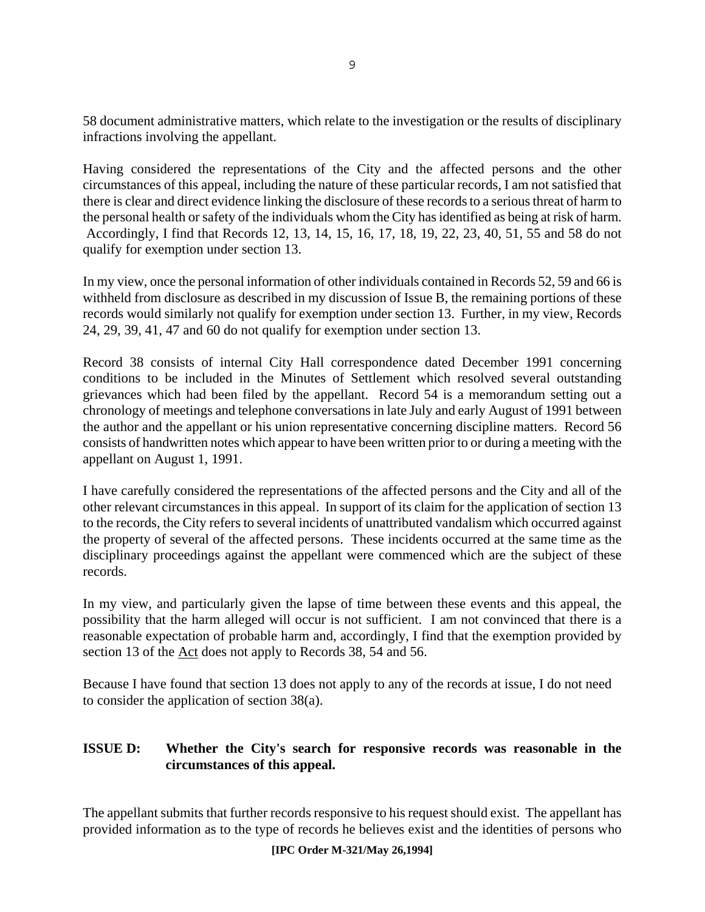58 document administrative matters, which relate to the investigation or the results of disciplinary infractions involving the appellant.

Having considered the representations of the City and the affected persons and the other circumstances of this appeal, including the nature of these particular records, I am not satisfied that there is clear and direct evidence linking the disclosure of these records to a serious threat of harm to the personal health or safety of the individuals whom the City has identified as being at risk of harm. Accordingly, I find that Records 12, 13, 14, 15, 16, 17, 18, 19, 22, 23, 40, 51, 55 and 58 do not qualify for exemption under section 13.

In my view, once the personal information of other individuals contained in Records 52, 59 and 66 is withheld from disclosure as described in my discussion of Issue B, the remaining portions of these records would similarly not qualify for exemption under section 13. Further, in my view, Records 24, 29, 39, 41, 47 and 60 do not qualify for exemption under section 13.

Record 38 consists of internal City Hall correspondence dated December 1991 concerning conditions to be included in the Minutes of Settlement which resolved several outstanding grievances which had been filed by the appellant. Record 54 is a memorandum setting out a chronology of meetings and telephone conversations in late July and early August of 1991 between the author and the appellant or his union representative concerning discipline matters. Record 56 consists of handwritten notes which appear to have been written prior to or during a meeting with the appellant on August 1, 1991.

I have carefully considered the representations of the affected persons and the City and all of the other relevant circumstances in this appeal. In support of its claim for the application of section 13 to the records, the City refers to several incidents of unattributed vandalism which occurred against the property of several of the affected persons. These incidents occurred at the same time as the disciplinary proceedings against the appellant were commenced which are the subject of these records.

In my view, and particularly given the lapse of time between these events and this appeal, the possibility that the harm alleged will occur is not sufficient. I am not convinced that there is a reasonable expectation of probable harm and, accordingly, I find that the exemption provided by section 13 of the Act does not apply to Records 38, 54 and 56.

Because I have found that section 13 does not apply to any of the records at issue, I do not need to consider the application of section 38(a).

#### **ISSUE D: Whether the City's search for responsive records was reasonable in the circumstances of this appeal.**

The appellant submits that further records responsive to his request should exist. The appellant has provided information as to the type of records he believes exist and the identities of persons who

#### **[IPC Order M-321/May 26,1994]**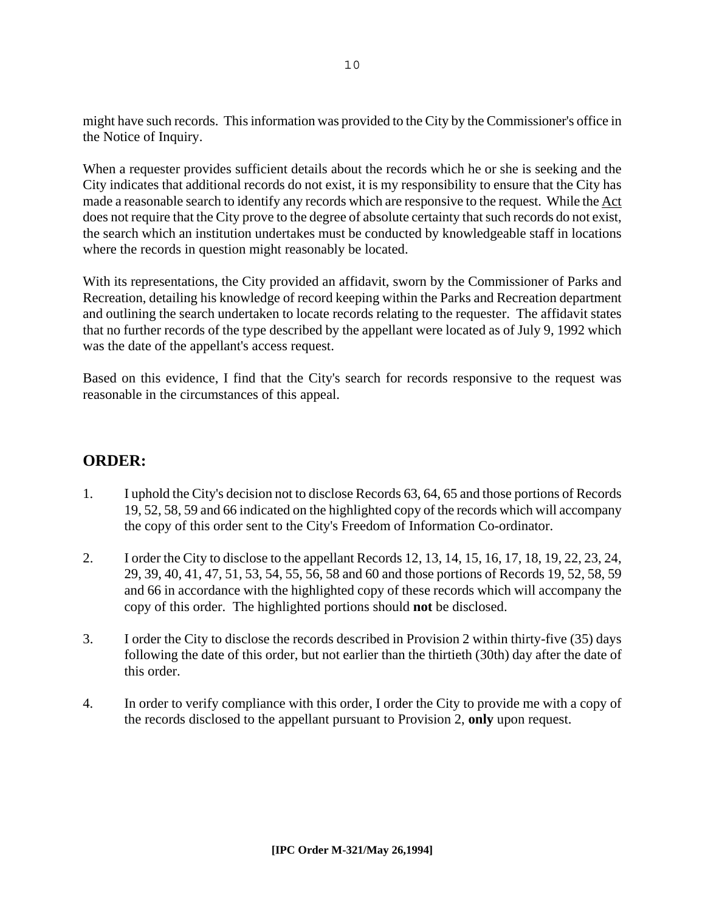might have such records. This information was provided to the City by the Commissioner's office in the Notice of Inquiry.

When a requester provides sufficient details about the records which he or she is seeking and the City indicates that additional records do not exist, it is my responsibility to ensure that the City has made a reasonable search to identify any records which are responsive to the request. While the Act does not require that the City prove to the degree of absolute certainty that such records do not exist, the search which an institution undertakes must be conducted by knowledgeable staff in locations where the records in question might reasonably be located.

With its representations, the City provided an affidavit, sworn by the Commissioner of Parks and Recreation, detailing his knowledge of record keeping within the Parks and Recreation department and outlining the search undertaken to locate records relating to the requester. The affidavit states that no further records of the type described by the appellant were located as of July 9, 1992 which was the date of the appellant's access request.

Based on this evidence, I find that the City's search for records responsive to the request was reasonable in the circumstances of this appeal.

#### **ORDER:**

- 1. I uphold the City's decision not to disclose Records 63, 64, 65 and those portions of Records 19, 52, 58, 59 and 66 indicated on the highlighted copy of the records which will accompany the copy of this order sent to the City's Freedom of Information Co-ordinator.
- 2. I order the City to disclose to the appellant Records 12, 13, 14, 15, 16, 17, 18, 19, 22, 23, 24, 29, 39, 40, 41, 47, 51, 53, 54, 55, 56, 58 and 60 and those portions of Records 19, 52, 58, 59 and 66 in accordance with the highlighted copy of these records which will accompany the copy of this order. The highlighted portions should **not** be disclosed.
- 3. I order the City to disclose the records described in Provision 2 within thirty-five (35) days following the date of this order, but not earlier than the thirtieth (30th) day after the date of this order.
- 4. In order to verify compliance with this order, I order the City to provide me with a copy of the records disclosed to the appellant pursuant to Provision 2, **only** upon request.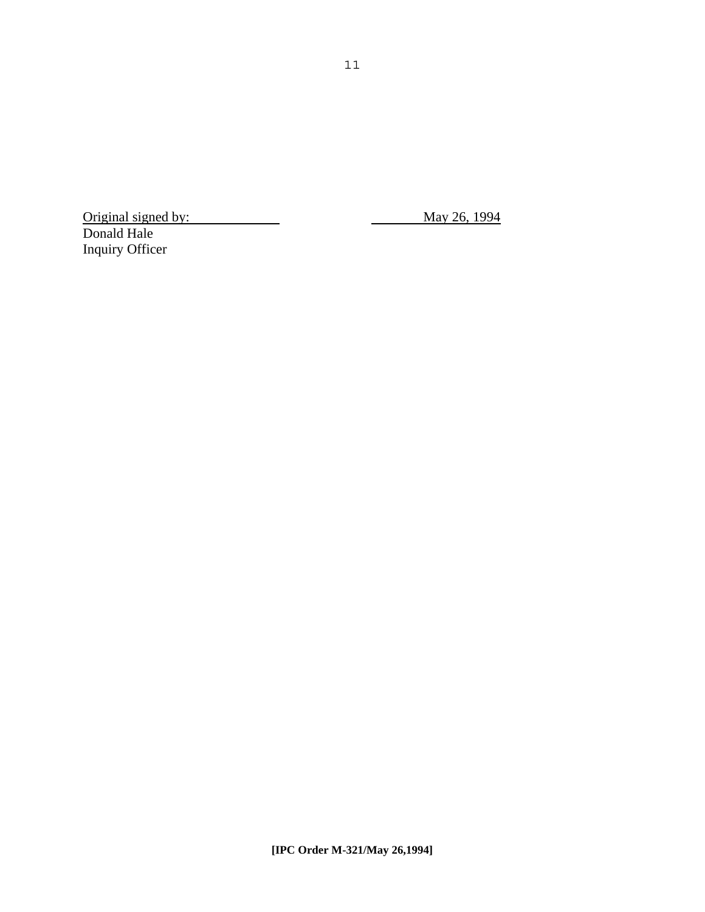Original signed by: May 26, 1994 Donald Hale Inquiry Officer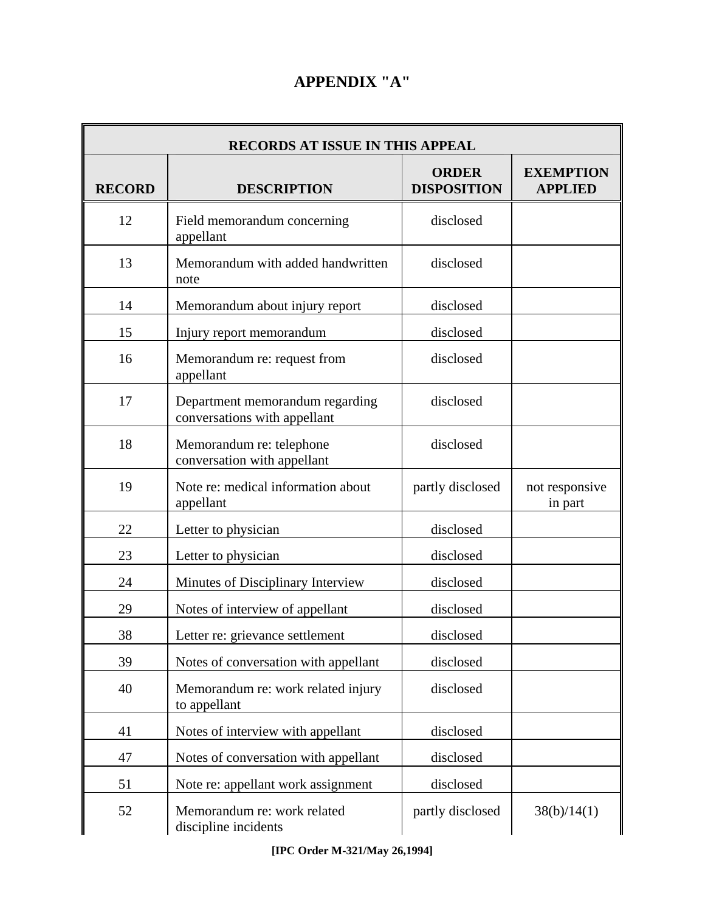### **APPENDIX "A"**

| <b>RECORDS AT ISSUE IN THIS APPEAL</b> |                                                                 |                                    |                                    |  |
|----------------------------------------|-----------------------------------------------------------------|------------------------------------|------------------------------------|--|
| <b>RECORD</b>                          | <b>DESCRIPTION</b>                                              | <b>ORDER</b><br><b>DISPOSITION</b> | <b>EXEMPTION</b><br><b>APPLIED</b> |  |
| 12                                     | Field memorandum concerning<br>appellant                        | disclosed                          |                                    |  |
| 13                                     | Memorandum with added handwritten<br>note                       | disclosed                          |                                    |  |
| 14                                     | Memorandum about injury report                                  | disclosed                          |                                    |  |
| 15                                     | Injury report memorandum                                        | disclosed                          |                                    |  |
| 16                                     | Memorandum re: request from<br>appellant                        | disclosed                          |                                    |  |
| 17                                     | Department memorandum regarding<br>conversations with appellant | disclosed                          |                                    |  |
| 18                                     | Memorandum re: telephone<br>conversation with appellant         | disclosed                          |                                    |  |
| 19                                     | Note re: medical information about<br>appellant                 | partly disclosed                   | not responsive<br>in part          |  |
| 22                                     | Letter to physician                                             | disclosed                          |                                    |  |
| 23                                     | Letter to physician                                             | disclosed                          |                                    |  |
| 24                                     | Minutes of Disciplinary Interview                               | disclosed                          |                                    |  |
| 29                                     | Notes of interview of appellant                                 | disclosed                          |                                    |  |
| 38                                     | Letter re: grievance settlement                                 | disclosed                          |                                    |  |
| 39                                     | Notes of conversation with appellant                            | disclosed                          |                                    |  |
| 40                                     | Memorandum re: work related injury<br>to appellant              | disclosed                          |                                    |  |
| 41                                     | Notes of interview with appellant                               | disclosed                          |                                    |  |
| 47                                     | Notes of conversation with appellant                            | disclosed                          |                                    |  |
| 51                                     | Note re: appellant work assignment                              | disclosed                          |                                    |  |
| 52                                     | Memorandum re: work related<br>discipline incidents             | partly disclosed                   | 38(b)/14(1)                        |  |